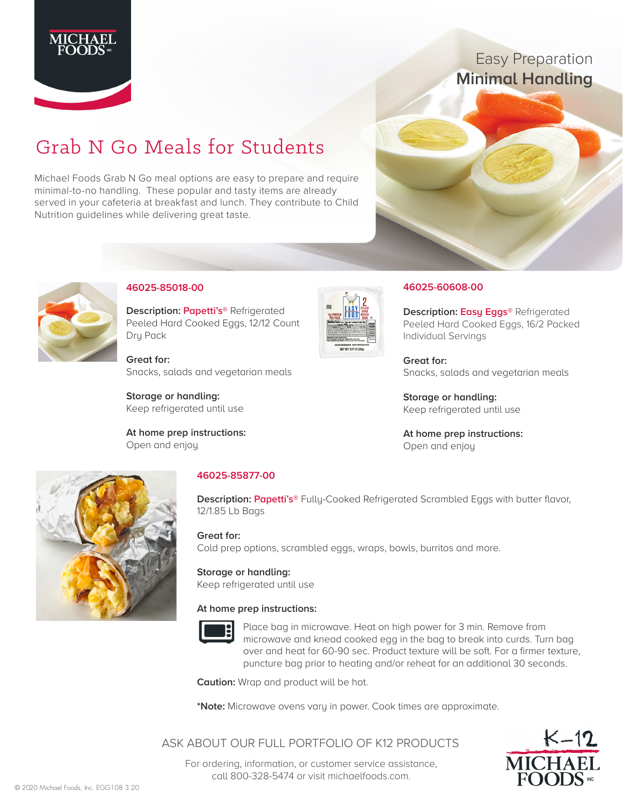

# Easy Preparation **Minimal Handling**

# Grab N Go Meals for Students

Michael Foods Grab N Go meal options are easy to prepare and require minimal-to-no handling. These popular and tasty items are already served in your cafeteria at breakfast and lunch. They contribute to Child Nutrition guidelines while delivering great taste.





## **46025-85018-00**

**Description: Papetti's®** Refrigerated Peeled Hard Cooked Eggs, 12/12 Count Dry Pack

**Great for:** Snacks, salads and vegetarian meals

**Storage or handling:** Keep refrigerated until use

**At home prep instructions:**  Open and enjoy



### **46025-60608-00**

**Description: Easy Eggs®** Refrigerated Peeled Hard Cooked Eggs, 16/2 Packed Individual Servings

**Great for:** Snacks, salads and vegetarian meals

**Storage or handling:** Keep refrigerated until use

**At home prep instructions:** Open and enjoy



# **46025-85877-00**

**Description: Papetti's®** Fully-Cooked Refrigerated Scrambled Eggs with butter flavor, 12/1.85 Lb Bags

### **Great for:**

Cold prep options, scrambled eggs, wraps, bowls, burritos and more.

# **Storage or handling:**

Keep refrigerated until use

### **At home prep instructions:**



Place bag in microwave. Heat on high power for 3 min. Remove from microwave and knead cooked egg in the bag to break into curds. Turn bag over and heat for 60-90 sec. Product texture will be soft. For a firmer texture, puncture bag prior to heating and/or reheat for an additional 30 seconds.

**Caution:** Wrap and product will be hot.

**\*Note:** Microwave ovens vary in power. Cook times are approximate.

# ASK ABOUT OUR FULL PORTFOLIO OF K12 PRODUCTS



For ordering, information, or customer service assistance, call 800-328-5474 or visit michaelfoods.com.